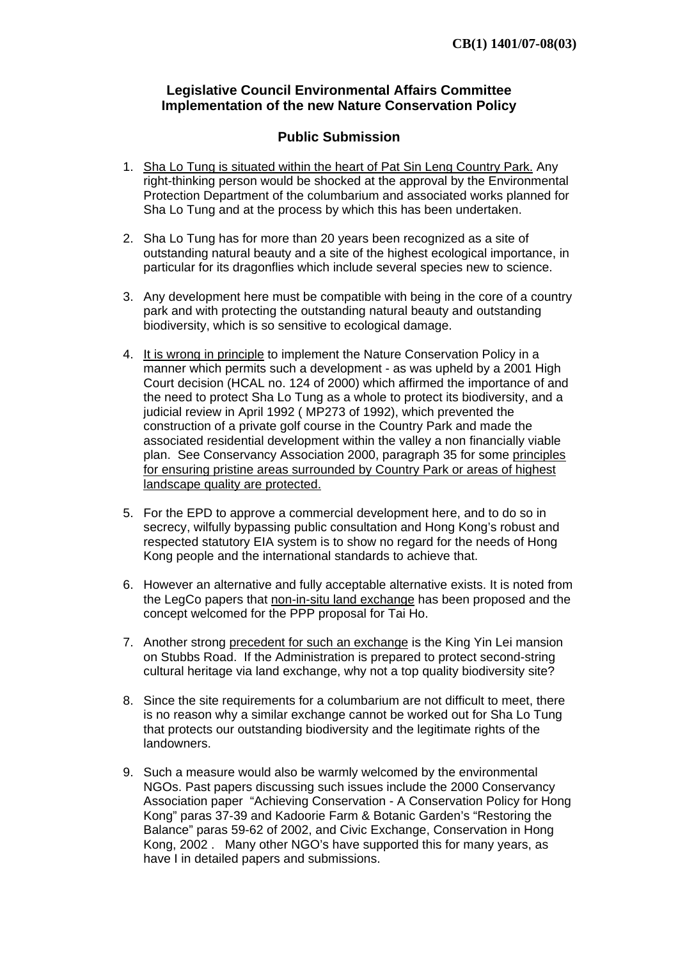## **Legislative Council Environmental Affairs Committee Implementation of the new Nature Conservation Policy**

## **Public Submission**

- 1. Sha Lo Tung is situated within the heart of Pat Sin Leng Country Park. Any right-thinking person would be shocked at the approval by the Environmental Protection Department of the columbarium and associated works planned for Sha Lo Tung and at the process by which this has been undertaken.
- 2. Sha Lo Tung has for more than 20 years been recognized as a site of outstanding natural beauty and a site of the highest ecological importance, in particular for its dragonflies which include several species new to science.
- 3. Any development here must be compatible with being in the core of a country park and with protecting the outstanding natural beauty and outstanding biodiversity, which is so sensitive to ecological damage.
- 4. It is wrong in principle to implement the Nature Conservation Policy in a manner which permits such a development - as was upheld by a 2001 High Court decision (HCAL no. 124 of 2000) which affirmed the importance of and the need to protect Sha Lo Tung as a whole to protect its biodiversity, and a judicial review in April 1992 ( MP273 of 1992), which prevented the construction of a private golf course in the Country Park and made the associated residential development within the valley a non financially viable plan. See Conservancy Association 2000, paragraph 35 for some principles for ensuring pristine areas surrounded by Country Park or areas of highest landscape quality are protected.
- 5. For the EPD to approve a commercial development here, and to do so in secrecy, wilfully bypassing public consultation and Hong Kong's robust and respected statutory EIA system is to show no regard for the needs of Hong Kong people and the international standards to achieve that.
- 6. However an alternative and fully acceptable alternative exists. It is noted from the LegCo papers that non-in-situ land exchange has been proposed and the concept welcomed for the PPP proposal for Tai Ho.
- 7. Another strong precedent for such an exchange is the King Yin Lei mansion on Stubbs Road. If the Administration is prepared to protect second-string cultural heritage via land exchange, why not a top quality biodiversity site?
- 8. Since the site requirements for a columbarium are not difficult to meet, there is no reason why a similar exchange cannot be worked out for Sha Lo Tung that protects our outstanding biodiversity and the legitimate rights of the landowners.
- 9. Such a measure would also be warmly welcomed by the environmental NGOs. Past papers discussing such issues include the 2000 Conservancy Association paper "Achieving Conservation - A Conservation Policy for Hong Kong" paras 37-39 and Kadoorie Farm & Botanic Garden's "Restoring the Balance" paras 59-62 of 2002, and Civic Exchange, Conservation in Hong Kong, 2002 . Many other NGO's have supported this for many years, as have I in detailed papers and submissions.